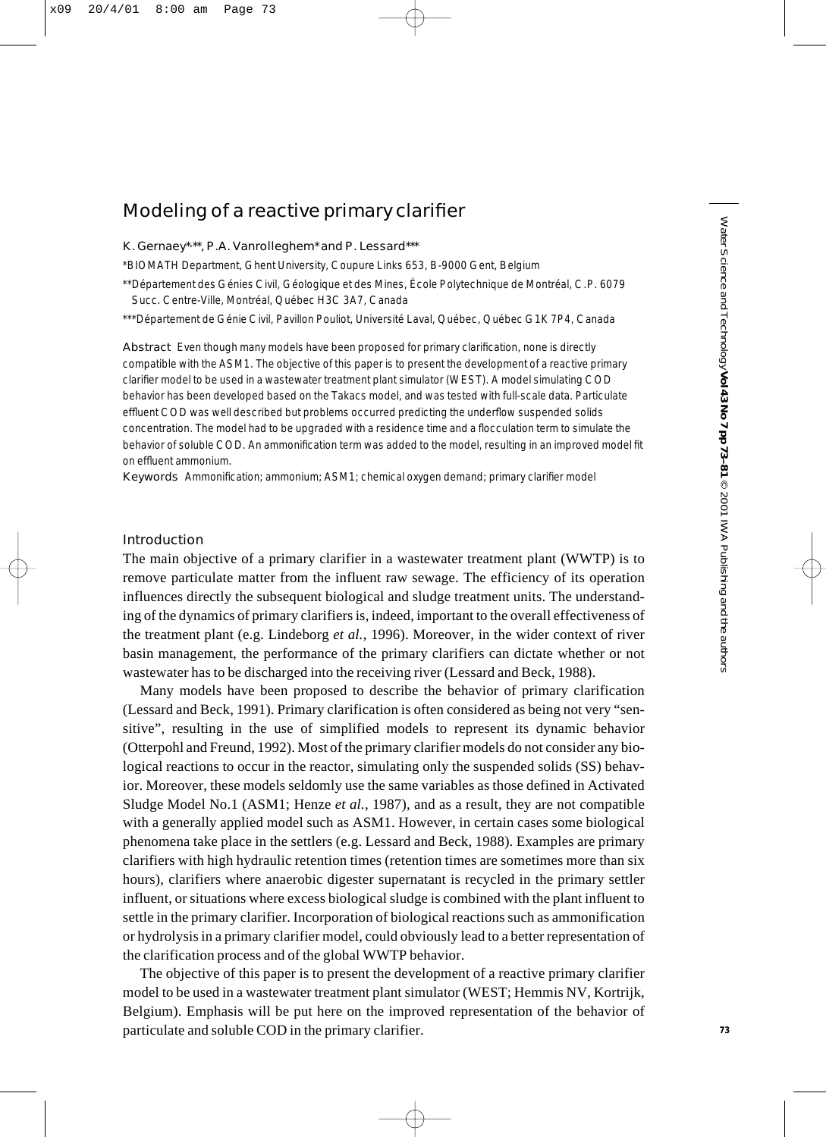# Modeling of a reactive primary clarifier

#### K. Gernaey\*, \*\*, P.A. Vanrolleghem\* and P. Lessard\*\*\*

\*BIOMATH Department, Ghent University, Coupure Links 653, B-9000 Gent, Belgium

\*\*Département des Génies Civil, Géologique et des Mines, École Polytechnique de Montréal, C.P. 6079 Succ. Centre-Ville, Montréal, Québec H3C 3A7, Canada

\*\*\*Département de Génie Civil, Pavillon Pouliot, Université Laval, Québec, Québec G1K 7P4, Canada

Abstract Even though many models have been proposed for primary clarification, none is directly compatible with the ASM1. The objective of this paper is to present the development of a reactive primary clarifier model to be used in a wastewater treatment plant simulator (WEST). A model simulating COD behavior has been developed based on the Takacs model, and was tested with full-scale data. Particulate effluent COD was well described but problems occurred predicting the underflow suspended solids concentration. The model had to be upgraded with a residence time and a flocculation term to simulate the behavior of soluble COD. An ammonification term was added to the model, resulting in an improved model fit on effluent ammonium.

Keywords Ammonification; ammonium; ASM1; chemical oxygen demand; primary clarifier model

# Introduction

The main objective of a primary clarifier in a wastewater treatment plant (WWTP) is to remove particulate matter from the influent raw sewage. The efficiency of its operation influences directly the subsequent biological and sludge treatment units. The understanding of the dynamics of primary clarifiers is, indeed, important to the overall effectiveness of the treatment plant (e.g. Lindeborg *et al.*, 1996). Moreover, in the wider context of river basin management, the performance of the primary clarifiers can dictate whether or not wastewater has to be discharged into the receiving river (Lessard and Beck, 1988).

Many models have been proposed to describe the behavior of primary clarification (Lessard and Beck, 1991). Primary clarification is often considered as being not very "sensitive", resulting in the use of simplified models to represent its dynamic behavior (Otterpohl and Freund, 1992). Most of the primary clarifier models do not consider any biological reactions to occur in the reactor, simulating only the suspended solids (SS) behavior. Moreover, these models seldomly use the same variables as those defined in Activated Sludge Model No.1 (ASM1; Henze *et al.*, 1987), and as a result, they are not compatible with a generally applied model such as ASM1. However, in certain cases some biological phenomena take place in the settlers (e.g. Lessard and Beck, 1988). Examples are primary clarifiers with high hydraulic retention times (retention times are sometimes more than six hours), clarifiers where anaerobic digester supernatant is recycled in the primary settler influent, or situations where excess biological sludge is combined with the plant influent to settle in the primary clarifier. Incorporation of biological reactions such as ammonification or hydrolysis in a primary clarifier model, could obviously lead to a better representation of the clarification process and of the global WWTP behavior.

The objective of this paper is to present the development of a reactive primary clarifier model to be used in a wastewater treatment plant simulator (WEST; Hemmis NV, Kortrijk, Belgium). Emphasis will be put here on the improved representation of the behavior of particulate and soluble COD in the primary clarifier.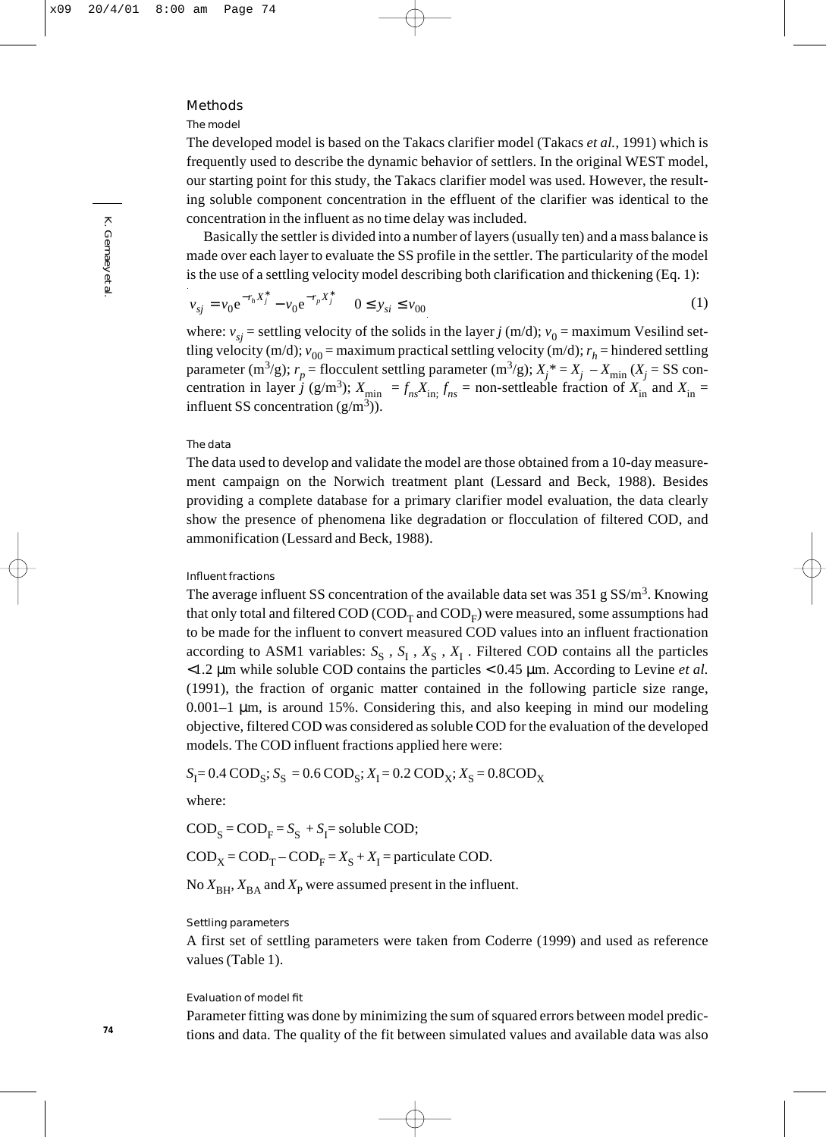### Methods

#### The model

The developed model is based on the Takacs clarifier model (Takacs *et al.*, 1991) which is frequently used to describe the dynamic behavior of settlers. In the original WEST model, our starting point for this study, the Takacs clarifier model was used. However, the resulting soluble component concentration in the effluent of the clarifier was identical to the concentration in the influent as no time delay was included.

Basically the settler is divided into a number of layers (usually ten) and a mass balance is made over each layer to evaluate the SS profile in the settler. The particularity of the model is the use of a settling velocity model describing both clarification and thickening (Eq. 1):

$$
v_{sj} = v_0 e^{-r_h X_j^*} - v_0 e^{-r_p X_j^*} \qquad 0 \le y_{si} \le v_{00}
$$
 (1)

where:  $v_{si}$  = settling velocity of the solids in the layer *j* (m/d);  $v_0$  = maximum Vesilind settling velocity (m/d);  $v_{00}$  = maximum practical settling velocity (m/d);  $r_h$  = hindered settling parameter (m<sup>3</sup>/g);  $r_p$  = flocculent settling parameter (m<sup>3</sup>/g);  $X_j^* = X_j - X_{min}$  ( $X_j = SS$  concentration in layer *j* (g/m<sup>3</sup>);  $X_{\text{min}} = f_{ns}X_{\text{in}}$ ;  $f_{ns}$  = non-settleable fraction of  $X_{\text{in}}$  and  $X_{\text{in}}$ influent SS concentration  $(g/m^3)$ ).

#### The data

The data used to develop and validate the model are those obtained from a 10-day measurement campaign on the Norwich treatment plant (Lessard and Beck, 1988). Besides providing a complete database for a primary clarifier model evaluation, the data clearly show the presence of phenomena like degradation or flocculation of filtered COD, and ammonification (Lessard and Beck, 1988).

#### Influent fractions

The average influent SS concentration of the available data set was  $351$  g SS/m<sup>3</sup>. Knowing that only total and filtered  $\text{COD}$  (COD<sub>T</sub> and  $\text{COD}_F$ ) were measured, some assumptions had to be made for the influent to convert measured COD values into an influent fractionation according to ASM1 variables:  $S_S$ ,  $S_I$ ,  $X_S$ ,  $X_I$ . Filtered COD contains all the particles <1.2 µm while soluble COD contains the particles < 0.45 µm. According to Levine *et al.* (1991), the fraction of organic matter contained in the following particle size range, 0.001–1 µm, is around 15%. Considering this, and also keeping in mind our modeling objective, filtered COD was considered as soluble COD for the evaluation of the developed models. The COD influent fractions applied here were:

$$
S_I = 0.4 \text{ COD}_S; S_S = 0.6 \text{ COD}_S; X_I = 0.2 \text{ COD}_X; X_S = 0.8 \text{ COD}_X
$$

where:

 $\text{COD}_{\text{S}} = \text{COD}_{\text{F}} = S_{\text{S}} + S_{\text{I}} = \text{soluble COD};$ 

 $\text{COD}_{\text{X}} = \text{COD}_{\text{T}} - \text{COD}_{\text{F}} = X_{\text{S}} + X_{\text{I}} =$  particulate COD.

No  $X_{\text{BH}}$ ,  $X_{\text{BA}}$  and  $X_{\text{P}}$  were assumed present in the influent.

# Settling parameters

A first set of settling parameters were taken from Coderre (1999) and used as reference values (Table 1).

#### Evaluation of model fit

Parameter fitting was done by minimizing the sum of squared errors between model predictions and data. The quality of the fit between simulated values and available data was also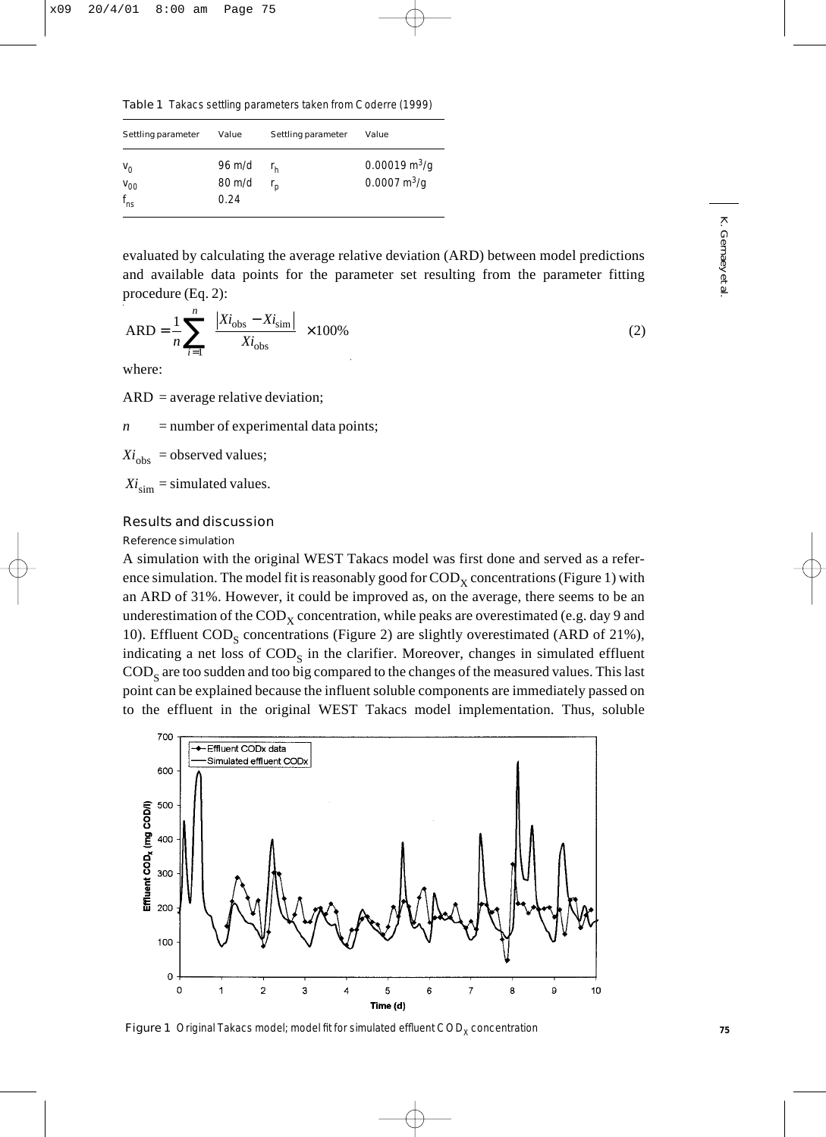Table 1 Takacs settling parameters taken from Coderre (1999)

| Settling parameter                         | Value                    | Settling parameter | Value                                                                |
|--------------------------------------------|--------------------------|--------------------|----------------------------------------------------------------------|
| $V_{\odot}$<br>$V_{00}$<br>$f_{\text{ns}}$ | 96 m/d<br>80 m/d<br>O 24 |                    | $0.00019 \,\mathrm{m}^3/\mathrm{q}$<br>$0.0007 \text{ m}^3/\text{q}$ |

evaluated by calculating the average relative deviation (ARD) between model predictions and available data points for the parameter set resulting from the parameter fitting procedure (Eq. 2):

$$
ARD = \frac{1}{n} \sum_{i=1}^{n} \left( \frac{|Xi_{obs} - Xi_{sim}|}{Xi_{obs}} \right) \times 100\%
$$
 (2)

where:

ARD = average relative deviation;

 $n =$  number of experimental data points;

 $Xi_{obs}$  = observed values;

 $Xi_{\text{sim}}$  = simulated values.

# Results and discussion

## Reference simulation

A simulation with the original WEST Takacs model was first done and served as a reference simulation. The model fit is reasonably good for  $\mathrm{COD}_x$  concentrations (Figure 1) with an ARD of 31%. However, it could be improved as, on the average, there seems to be an underestimation of the  $\mathrm{COD}_x$  concentration, while peaks are overestimated (e.g. day 9 and 10). Effluent  $\text{COD}_\text{S}$  concentrations (Figure 2) are slightly overestimated (ARD of 21%), indicating a net loss of  $\mathrm{COD}_S$  in the clarifier. Moreover, changes in simulated effluent  $\rm{COD}_s$  are too sudden and too big compared to the changes of the measured values. This last point can be explained because the influent soluble components are immediately passed on to the effluent in the original WEST Takacs model implementation. Thus, soluble



Figure 1 Original Takacs model; model fit for simulated effluent  $\text{COD}_x$  concentration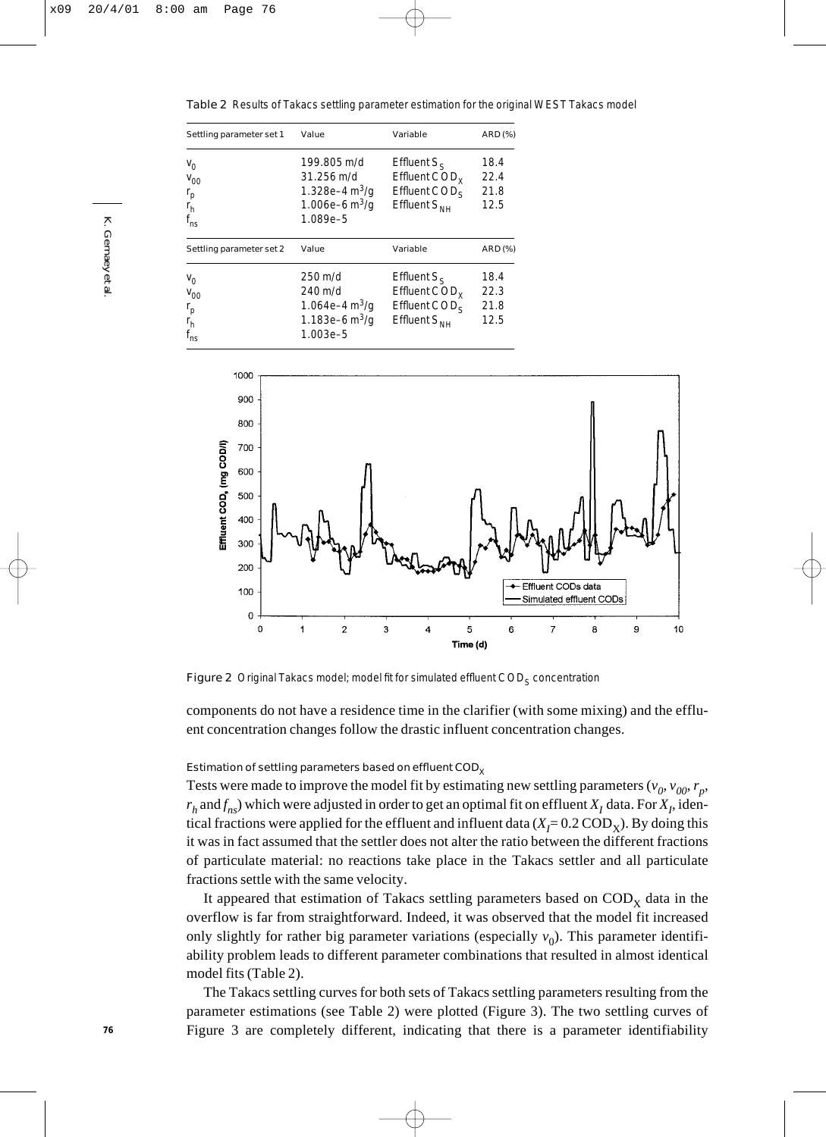Table 2 Results of Takacs settling parameter estimation for the original WEST Takacs model

| Settling parameter set 1                                        | Value                                                                                         | Variable                                                                                | <b>ARD (%)</b>               |
|-----------------------------------------------------------------|-----------------------------------------------------------------------------------------------|-----------------------------------------------------------------------------------------|------------------------------|
| $V_0$<br>$V_{00}$<br>$r_{\sf p}$<br>r <sub>h</sub><br>$f_{ns}$  | 199.805 m/d<br>$31.256 \text{ m/d}$<br>1.328e-4 $\rm m^3$ /g<br>1.006e-6 $m^3$ /g<br>1.089e-5 | Effluent $S_{\rm c}$<br>Effluent $\text{COD}_Y$<br>Effluent $CODs$<br>Effluent $S_{NH}$ | 18.4<br>22.4<br>21.8<br>12.5 |
| Settling parameter set 2                                        | Value                                                                                         | Variable                                                                                | <b>ARD (%)</b>               |
| $V_{\Omega}$<br>$V_{00}$<br>$r_{\rm p}$<br>r <sub>h</sub><br>ns | $250 \text{ m/d}$<br>240 m/d<br>1.064e-4 $\rm m^3/q$<br>1.183e-6 $m^3$ /g<br>1.003e-5         | Effluent $S_{\rm c}$<br>Effluent $\text{COD}_Y$<br>Effluent $CODs$<br>Effluent $S_{NH}$ | 18.4<br>22.3<br>21.8<br>12.5 |



Figure 2 Original Takacs model; model fit for simulated effluent COD<sub>S</sub> concentration

components do not have a residence time in the clarifier (with some mixing) and the effluent concentration changes follow the drastic influent concentration changes.

#### Estimation of settling parameters based on effluent  $\text{COD}_{\mathbf{x}}$

Tests were made to improve the model fit by estimating new settling parameters ( $v_0$ ,  $v_{00}$ ,  $r_p$ ,  $r_h$  and  $f_{ns}$ ) which were adjusted in order to get an optimal fit on effluent  $X_I$  data. For  $X_I$ , identical fractions were applied for the effluent and influent data ( $X_{\!\!f} \!\!=\! 0.2 \, \text{COD}_\text{X}$ ). By doing this it was in fact assumed that the settler does not alter the ratio between the different fractions of particulate material: no reactions take place in the Takacs settler and all particulate fractions settle with the same velocity.

It appeared that estimation of Takacs settling parameters based on  $\mathrm{COD}_x$  data in the overflow is far from straightforward. Indeed, it was observed that the model fit increased only slightly for rather big parameter variations (especially  $v_0$ ). This parameter identifiability problem leads to different parameter combinations that resulted in almost identical model fits (Table 2).

The Takacs settling curves for both sets of Takacs settling parameters resulting from the parameter estimations (see Table 2) were plotted (Figure 3). The two settling curves of Figure 3 are completely different, indicating that there is a parameter identifiability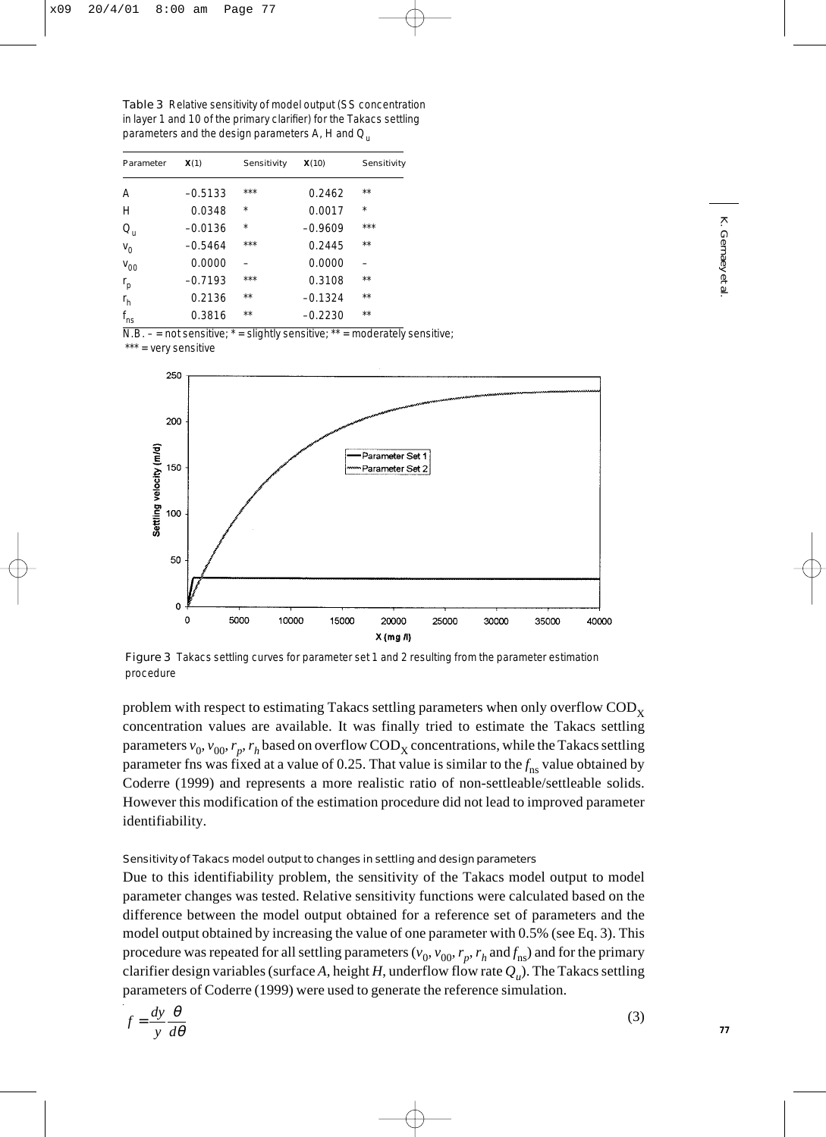Table 3 Relative sensitivity of model output (SS concentration in layer 1 and 10 of the primary clarifier) for the Takacs settling parameters and the design parameters *A*, *H* and *Q*<sup>u</sup>

| Parameter    |           |             | X(10)     | Sensitivity |
|--------------|-----------|-------------|-----------|-------------|
|              | X(1)      | Sensitivity |           |             |
| A            | $-0.5133$ | ***         | 0.2462    | $**$        |
| H            | 0.0348    | $\star$     | 0.0017    | $\star$     |
| $Q_{\rm u}$  | $-0.0136$ | $\star$     | $-0.9609$ | $***$       |
| $V_0$        | $-0.5464$ | ***         | 0.2445    | $**$        |
| $V_{00}$     | 0.0000    |             | 0.0000    |             |
| $r_p$        | $-0.7193$ | ***         | 0.3108    | $**$        |
| $r_h$        | 0.2136    | $**$        | $-0.1324$ | $**$        |
| $f_{\rm ns}$ | 0.3816    | $* *$       | $-0.2230$ | $**$        |

 $N.B. - = not$  sensitive;  $* =$  slightly sensitive;  $* =$  moderately sensitive;

\*\*\* = very sensitive



Figure 3 Takacs settling curves for parameter set 1 and 2 resulting from the parameter estimation procedure

problem with respect to estimating Takacs settling parameters when only overflow  $\mathrm{COD}_{\mathbf{Y}}$ concentration values are available. It was finally tried to estimate the Takacs settling parameters  $v_0$ ,  $v_{00}$ ,  $r_p$ ,  $r_h$  based on overflow COD<sub>X</sub> concentrations, while the Takacs settling parameter fns was fixed at a value of 0.25. That value is similar to the $f_{\rm ns}$  value obtained by Coderre (1999) and represents a more realistic ratio of non-settleable/settleable solids. However this modification of the estimation procedure did not lead to improved parameter identifiability.

## Sensitivity of Takacs model output to changes in settling and design parameters

Due to this identifiability problem, the sensitivity of the Takacs model output to model parameter changes was tested. Relative sensitivity functions were calculated based on the difference between the model output obtained for a reference set of parameters and the model output obtained by increasing the value of one parameter with 0.5% (see Eq. 3). This procedure was repeated for all settling parameters ( $v_0$ ,  $v_{00}$ ,  $r_p$ ,  $r_h$  and  $f_{\rm ns}$ ) and for the primary clarifier design variables (surface A, height  $H$ , underflow flow rate  $Q_u$ ). The Takacs settling parameters of Coderre (1999) were used to generate the reference simulation.

$$
f = \frac{dy}{y} \frac{\theta}{d\theta} \tag{3}
$$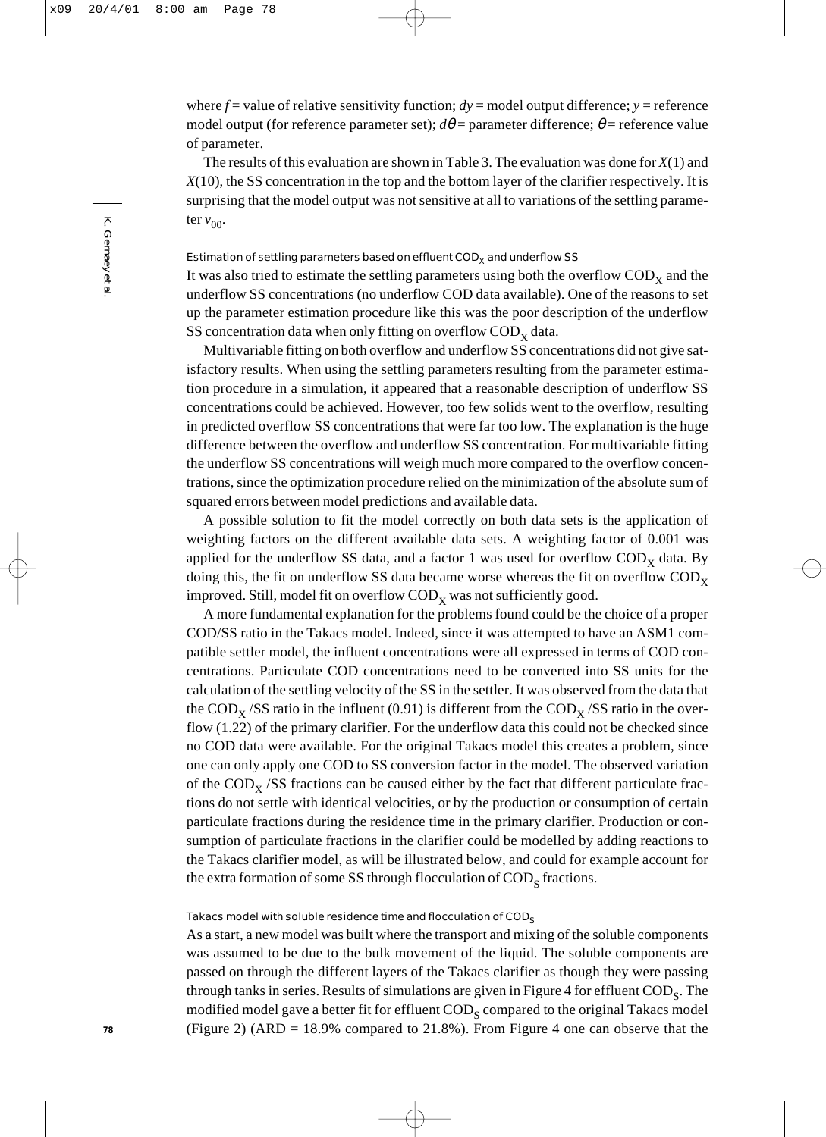where  $f =$  value of relative sensitivity function;  $dy =$  model output difference;  $y =$  reference model output (for reference parameter set);  $d\theta$  = parameter difference;  $\theta$  = reference value of parameter.

The results of this evaluation are shown in Table 3. The evaluation was done for *X*(1) and *X*(10), the SS concentration in the top and the bottom layer of the clarifier respectively. It is surprising that the model output was not sensitive at all to variations of the settling parameter  $v_{00}$ .

## Estimation of settling parameters based on effluent  $\text{COD}_X$  and underflow SS

It was also tried to estimate the settling parameters using both the overflow  $\mathrm{COD}_x$  and the underflow SS concentrations (no underflow COD data available). One of the reasons to set up the parameter estimation procedure like this was the poor description of the underflow SS concentration data when only fitting on overflow  $\mathrm{COD}_x$  data.

Multivariable fitting on both overflow and underflow SS concentrations did not give satisfactory results. When using the settling parameters resulting from the parameter estimation procedure in a simulation, it appeared that a reasonable description of underflow SS concentrations could be achieved. However, too few solids went to the overflow, resulting in predicted overflow SS concentrations that were far too low. The explanation is the huge difference between the overflow and underflow SS concentration. For multivariable fitting the underflow SS concentrations will weigh much more compared to the overflow concentrations, since the optimization procedure relied on the minimization of the absolute sum of squared errors between model predictions and available data.

A possible solution to fit the model correctly on both data sets is the application of weighting factors on the different available data sets. A weighting factor of 0.001 was applied for the underflow SS data, and a factor 1 was used for overflow  $\text{COD}_x$  data. By doing this, the fit on underflow SS data became worse whereas the fit on overflow  $\mathrm{COD}_x$ improved. Still, model fit on overflow  $\mathrm{COD}_x$  was not sufficiently good.

A more fundamental explanation for the problems found could be the choice of a proper COD/SS ratio in the Takacs model. Indeed, since it was attempted to have an ASM1 compatible settler model, the influent concentrations were all expressed in terms of COD concentrations. Particulate COD concentrations need to be converted into SS units for the calculation of the settling velocity of the SS in the settler. It was observed from the data that the COD<sub>x</sub> /SS ratio in the influent (0.91) is different from the COD<sub>x</sub> /SS ratio in the overflow (1.22) of the primary clarifier. For the underflow data this could not be checked since no COD data were available. For the original Takacs model this creates a problem, since one can only apply one COD to SS conversion factor in the model. The observed variation of the  $\text{COD}_x$  /SS fractions can be caused either by the fact that different particulate fractions do not settle with identical velocities, or by the production or consumption of certain particulate fractions during the residence time in the primary clarifier. Production or consumption of particulate fractions in the clarifier could be modelled by adding reactions to the Takacs clarifier model, as will be illustrated below, and could for example account for the extra formation of some SS through flocculation of  $\mathrm{COD}_S$  fractions.

# Takacs model with soluble residence time and flocculation of  $\mathsf{COD}_\mathsf{S}$

As a start, a new model was built where the transport and mixing of the soluble components was assumed to be due to the bulk movement of the liquid. The soluble components are passed on through the different layers of the Takacs clarifier as though they were passing through tanks in series. Results of simulations are given in Figure 4 for effluent  $\text{COD}_\text{S}$ . The modified model gave a better fit for effluent  $\mathrm{COD}_\mathrm{c}$  compared to the original Takacs model (Figure 2) (ARD = 18.9% compared to  $21.8\%$ ). From Figure 4 one can observe that the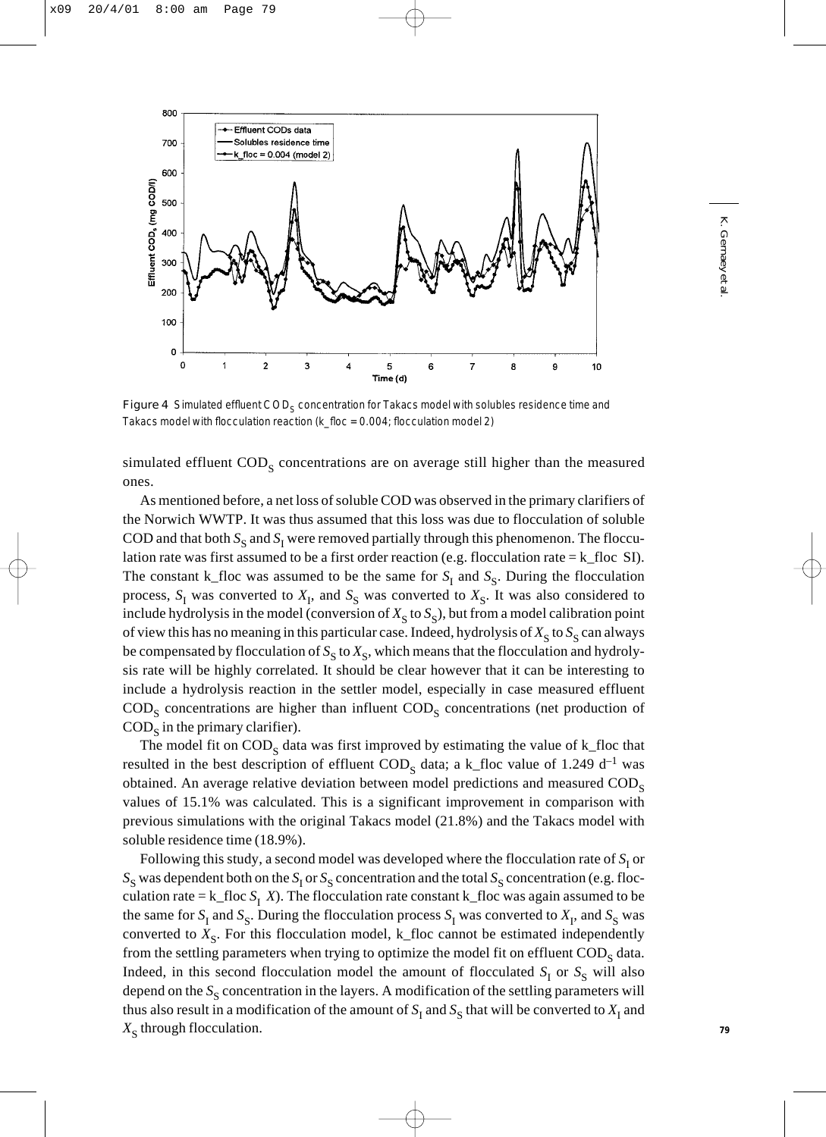

Figure 4 Simulated effluent COD<sub>S</sub> concentration for Takacs model with solubles residence time and Takacs model with flocculation reaction (k\_floc = 0.004; flocculation model 2)

simulated effluent  $\text{COD}_\text{s}$  concentrations are on average still higher than the measured ones.

As mentioned before, a net loss of soluble COD was observed in the primary clarifiers of the Norwich WWTP. It was thus assumed that this loss was due to flocculation of soluble COD and that both  $S_S$  and  $S_I$  were removed partially through this phenomenon. The flocculation rate was first assumed to be a first order reaction (e.g. flocculation rate =  $k_f$ floc SI). The constant k\_floc was assumed to be the same for  $S<sub>I</sub>$  and  $S<sub>S</sub>$ . During the flocculation process,  $S_I$  was converted to  $X_I$ , and  $S_S$  was converted to  $X_S$ . It was also considered to include hydrolysis in the model (conversion of  $X<sub>s</sub>$  to  $S<sub>s</sub>$ ), but from a model calibration point of view this has no meaning in this particular case. Indeed, hydrolysis of  $X_S$  to  $S_S$  can always be compensated by flocculation of  $S_S$  to  $X_S$ , which means that the flocculation and hydrolysis rate will be highly correlated. It should be clear however that it can be interesting to include a hydrolysis reaction in the settler model, especially in case measured effluent  $\text{COD}_\text{S}$  concentrations are higher than influent  $\text{COD}_\text{S}$  concentrations (net production of  $\mathrm{COD}_S$  in the primary clarifier).

The model fit on  $\mathrm{COD}_S$  data was first improved by estimating the value of k\_floc that resulted in the best description of effluent  $\text{COD}_S$  data; a k\_floc value of 1.249 d<sup>-1</sup> was obtained. An average relative deviation between model predictions and measured  $\text{COD}_s$ values of 15.1% was calculated. This is a significant improvement in comparison with previous simulations with the original Takacs model (21.8%) and the Takacs model with soluble residence time (18.9%).

Following this study, a second model was developed where the flocculation rate of  $S<sub>I</sub>$  or  $S_S$  was dependent both on the  $S_I$  or  $S_S$  concentration and the total  $S_S$  concentration (e.g. flocculation rate =  $k_f$ floc  $S_I$  *X*). The flocculation rate constant k\_floc was again assumed to be the same for  $S_I$  and  $S_S$ . During the flocculation process  $S_I$  was converted to  $X_I$ , and  $S_S$  was converted to  $X_{\rm s}$ . For this flocculation model, k\_floc cannot be estimated independently from the settling parameters when trying to optimize the model fit on effluent  $\text{COD}_s$  data. Indeed, in this second flocculation model the amount of flocculated  $S<sub>I</sub>$  or  $S<sub>S</sub>$  will also depend on the S<sub>S</sub> concentration in the layers. A modification of the settling parameters will thus also result in a modification of the amount of  $S<sub>I</sub>$  and  $S<sub>S</sub>$  that will be converted to  $X<sub>I</sub>$  and  $X_{\rm s}$  through flocculation.

K. Gernaey *et al.* . Gernaey et al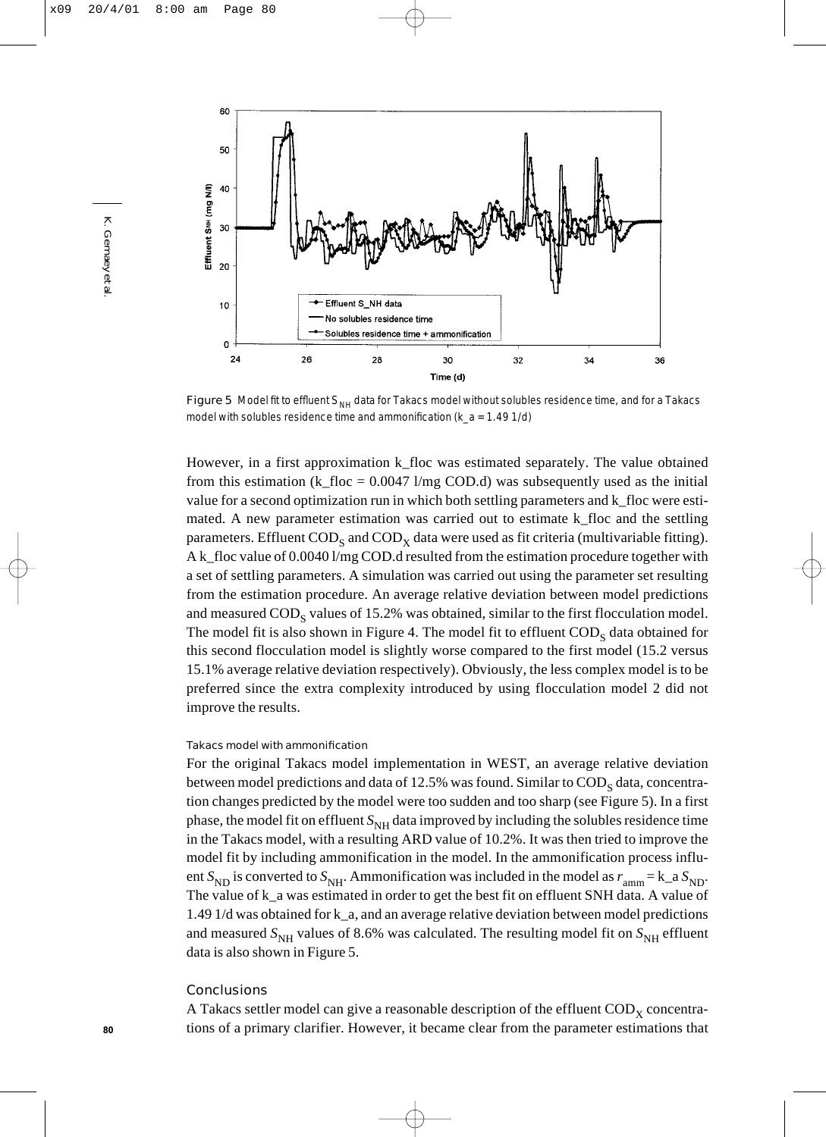

Figure 5 Model fit to effluent S<sub>NH</sub> data for Takacs model without solubles residence time, and for a Takacs model with solubles residence time and ammonification ( $k_a = 1.49$  1/d)

However, in a first approximation k\_floc was estimated separately. The value obtained from this estimation (k\_floc =  $0.0047$  l/mg COD.d) was subsequently used as the initial value for a second optimization run in which both settling parameters and k\_floc were estimated. A new parameter estimation was carried out to estimate k\_floc and the settling parameters. Effluent  $\text{COD}_s$  and  $\text{COD}_x$  data were used as fit criteria (multivariable fitting). A k\_floc value of 0.0040 l/mg COD.d resulted from the estimation procedure together with a set of settling parameters. A simulation was carried out using the parameter set resulting from the estimation procedure. An average relative deviation between model predictions and measured  $\mathrm{COD}_\mathrm{s}$  values of 15.2% was obtained, similar to the first flocculation model. The model fit is also shown in Figure 4. The model fit to effluent  $\text{COD}_S$  data obtained for this second flocculation model is slightly worse compared to the first model (15.2 versus 15.1% average relative deviation respectively). Obviously, the less complex model is to be preferred since the extra complexity introduced by using flocculation model 2 did not improve the results.

## Takacs model with ammonification

For the original Takacs model implementation in WEST, an average relative deviation between model predictions and data of 12.5% was found. Similar to  $\text{COD}_S$  data, concentration changes predicted by the model were too sudden and too sharp (see Figure 5). In a first phase, the model fit on effluent  $S_{NH}$  data improved by including the solubles residence time in the Takacs model, with a resulting ARD value of 10.2%. It was then tried to improve the model fit by including ammonification in the model. In the ammonification process influent  $S_{ND}$  is converted to  $S_{NH}$ . Ammonification was included in the model as  $r_{amm} = k_a S_{ND}$ . The value of  $k_a$  was estimated in order to get the best fit on effluent SNH data. A value of 1.49 1/d was obtained for k\_a, and an average relative deviation between model predictions and measured  $S_{NH}$  values of 8.6% was calculated. The resulting model fit on  $S_{NH}$  effluent data is also shown in Figure 5.

# **Conclusions**

A Takacs settler model can give a reasonable description of the effluent  $\text{COD}_x$  concentrations of a primary clarifier. However, it became clear from the parameter estimations that